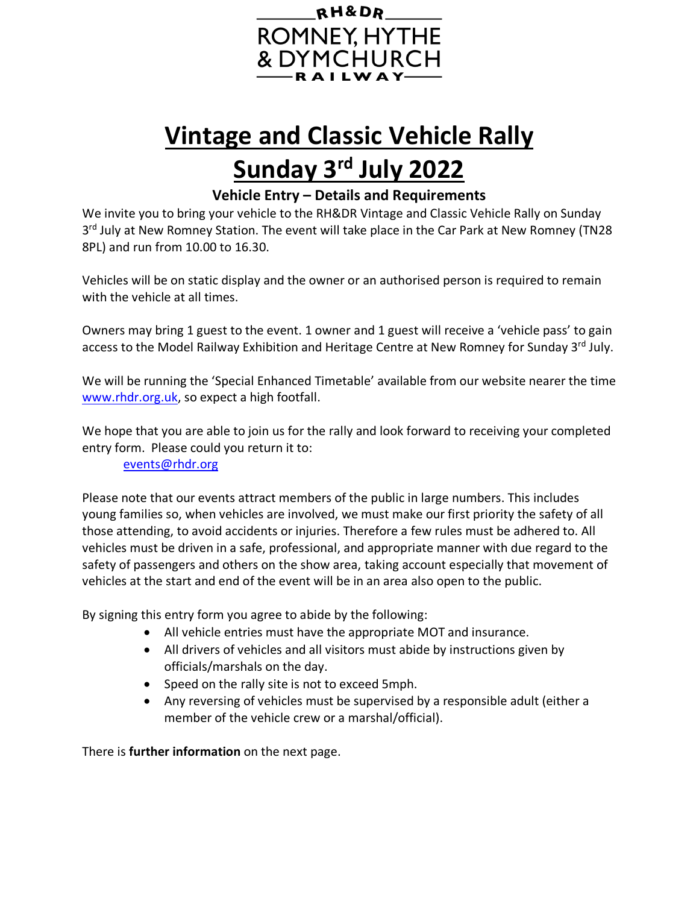

## **Vintage and Classic Vehicle Rally Sunday 3rd July 2022**

**Vehicle Entry – Details and Requirements**

We invite you to bring your vehicle to the RH&DR Vintage and Classic Vehicle Rally on Sunday 3<sup>rd</sup> July at New Romney Station. The event will take place in the Car Park at New Romney (TN28 8PL) and run from 10.00 to 16.30.

Vehicles will be on static display and the owner or an authorised person is required to remain with the vehicle at all times.

Owners may bring 1 guest to the event. 1 owner and 1 guest will receive a 'vehicle pass' to gain access to the Model Railway Exhibition and Heritage Centre at New Romney for Sunday 3rd July.

We will be running the 'Special Enhanced Timetable' available from our website nearer the time [www.rhdr.org.uk,](http://www.rhdr.org.uk/) so expect a high footfall.

We hope that you are able to join us for the rally and look forward to receiving your completed entry form. Please could you return it to:

[events@rhdr.org](mailto:events@rhdr.org)

Please note that our events attract members of the public in large numbers. This includes young families so, when vehicles are involved, we must make our first priority the safety of all those attending, to avoid accidents or injuries. Therefore a few rules must be adhered to. All vehicles must be driven in a safe, professional, and appropriate manner with due regard to the safety of passengers and others on the show area, taking account especially that movement of vehicles at the start and end of the event will be in an area also open to the public.

By signing this entry form you agree to abide by the following:

- All vehicle entries must have the appropriate MOT and insurance.
- All drivers of vehicles and all visitors must abide by instructions given by officials/marshals on the day.
- Speed on the rally site is not to exceed 5mph.
- Any reversing of vehicles must be supervised by a responsible adult (either a member of the vehicle crew or a marshal/official).

There is **further information** on the next page.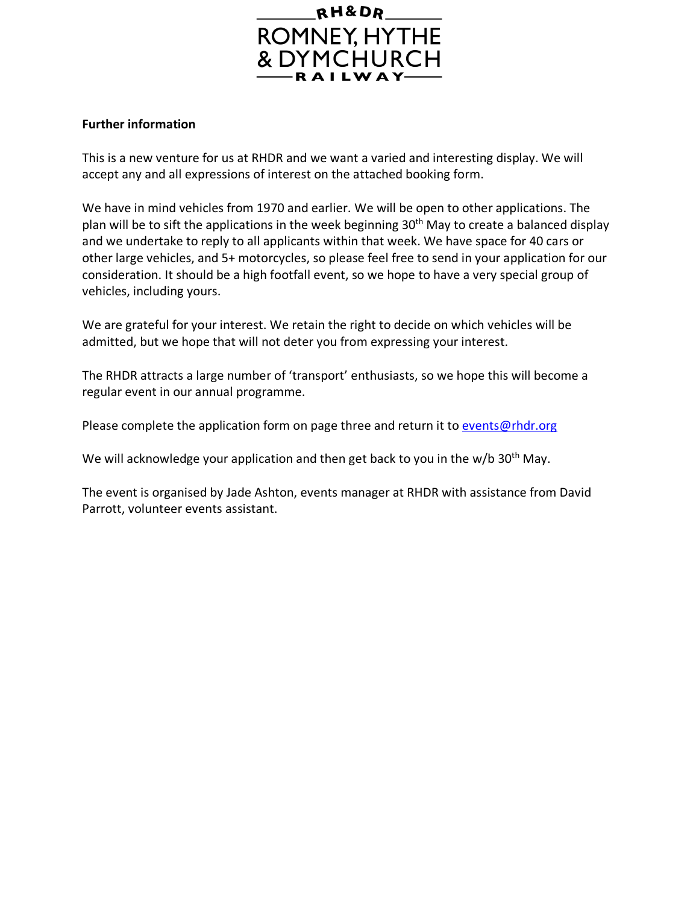

## **Further information**

This is a new venture for us at RHDR and we want a varied and interesting display. We will accept any and all expressions of interest on the attached booking form.

We have in mind vehicles from 1970 and earlier. We will be open to other applications. The plan will be to sift the applications in the week beginning 30<sup>th</sup> May to create a balanced display and we undertake to reply to all applicants within that week. We have space for 40 cars or other large vehicles, and 5+ motorcycles, so please feel free to send in your application for our consideration. It should be a high footfall event, so we hope to have a very special group of vehicles, including yours.

We are grateful for your interest. We retain the right to decide on which vehicles will be admitted, but we hope that will not deter you from expressing your interest.

The RHDR attracts a large number of 'transport' enthusiasts, so we hope this will become a regular event in our annual programme.

Please complete the application form on page three and return it to [events@rhdr.org](mailto:events@rhdr.org)

We will acknowledge your application and then get back to you in the w/b  $30<sup>th</sup>$  May.

The event is organised by Jade Ashton, events manager at RHDR with assistance from David Parrott, volunteer events assistant.